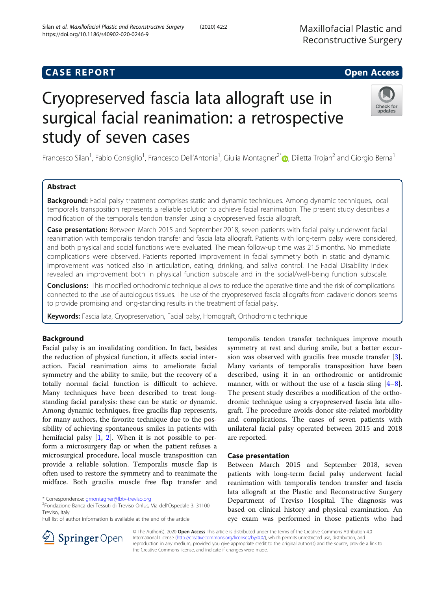# Cryopreserved fascia lata allograft use in surgical facial reanimation: a retrospective study of seven cases

Francesco Silan<sup>1</sup>, Fabio Consiglio<sup>1</sup>, Francesco Dell'Antonia<sup>1</sup>, Giulia Montagner<sup>2[\\*](http://orcid.org/0000-0003-4978-8209)</sup>. Diletta Trojan<sup>2</sup> and Giorgio Berna<sup>1</sup>

## Abstract

Background: Facial palsy treatment comprises static and dynamic techniques. Among dynamic techniques, local temporalis transposition represents a reliable solution to achieve facial reanimation. The present study describes a modification of the temporalis tendon transfer using a cryopreserved fascia allograft.

Case presentation: Between March 2015 and September 2018, seven patients with facial palsy underwent facial reanimation with temporalis tendon transfer and fascia lata allograft. Patients with long-term palsy were considered, and both physical and social functions were evaluated. The mean follow-up time was 21.5 months. No immediate complications were observed. Patients reported improvement in facial symmetry both in static and dynamic. Improvement was noticed also in articulation, eating, drinking, and saliva control. The Facial Disability Index revealed an improvement both in physical function subscale and in the social/well-being function subscale.

**Conclusions:** This modified orthodromic technique allows to reduce the operative time and the risk of complications connected to the use of autologous tissues. The use of the cryopreserved fascia allografts from cadaveric donors seems to provide promising and long-standing results in the treatment of facial palsy.

Keywords: Fascia lata, Cryopreservation, Facial palsy, Homograft, Orthodromic technique

## Background

Facial palsy is an invalidating condition. In fact, besides the reduction of physical function, it affects social interaction. Facial reanimation aims to ameliorate facial symmetry and the ability to smile, but the recovery of a totally normal facial function is difficult to achieve. Many techniques have been described to treat longstanding facial paralysis: these can be static or dynamic. Among dynamic techniques, free gracilis flap represents, for many authors, the favorite technique due to the possibility of achieving spontaneous smiles in patients with hemifacial palsy [\[1](#page-4-0), [2\]](#page-4-0). When it is not possible to perform a microsurgery flap or when the patient refuses a microsurgical procedure, local muscle transposition can provide a reliable solution. Temporalis muscle flap is often used to restore the symmetry and to reanimate the midface. Both gracilis muscle free flap transfer and

SpringerOpen

Fondazione Banca dei Tessuti di Treviso Onlus, Via dell'Ospedale 3, 31100 Treviso, Italy

Case presentation Between March 2015 and September 2018, seven patients with long-term facial palsy underwent facial reanimation with temporalis tendon transfer and fascia lata allograft at the Plastic and Reconstructive Surgery Department of Treviso Hospital. The diagnosis was based on clinical history and physical examination. An eye exam was performed in those patients who had

© The Author(s). 2020 Open Access This article is distributed under the terms of the Creative Commons Attribution 4.0 International License ([http://creativecommons.org/licenses/by/4.0/\)](http://creativecommons.org/licenses/by/4.0/), which permits unrestricted use, distribution, and reproduction in any medium, provided you give appropriate credit to the original author(s) and the source, provide a link to the Creative Commons license, and indicate if changes were made.

temporalis tendon transfer techniques improve mouth symmetry at rest and during smile, but a better excursion was observed with gracilis free muscle transfer [\[3](#page-4-0)]. Many variants of temporalis transposition have been described, using it in an orthodromic or antidromic manner, with or without the use of a fascia sling [\[4](#page-4-0)–[8](#page-4-0)]. The present study describes a modification of the orthodromic technique using a cryopreserved fascia lata allograft. The procedure avoids donor site-related morbidity and complications. The cases of seven patients with unilateral facial palsy operated between 2015 and 2018 are reported.

## **CASE REPORT CASE REPORT CASE REPORT**

Silan et al. Maxillofacial Plastic and Reconstructive Surgery (2020) 42:2





<sup>\*</sup> Correspondence: [gmontagner@fbtv-treviso.org](mailto:gmontagner@fbtv-treviso.org) <sup>2</sup>

Full list of author information is available at the end of the article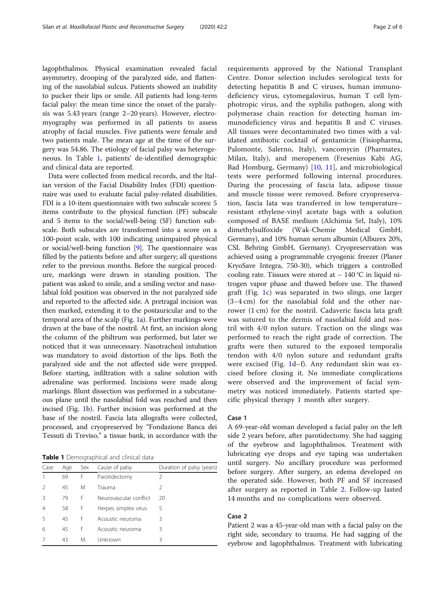lagophthalmos. Physical examination revealed facial asymmetry, drooping of the paralyzed side, and flattening of the nasolabial sulcus. Patients showed an inability to pucker their lips or smile. All patients had long-term facial palsy: the mean time since the onset of the paralysis was 5.43 years (range 2–20 years). However, electromyography was performed in all patients to assess atrophy of facial muscles. Five patients were female and two patients male. The mean age at the time of the surgery was 54.86. The etiology of facial palsy was heterogeneous. In Table 1, patients' de-identified demographic and clinical data are reported.

Data were collected from medical records, and the Italian version of the Facial Disability Index (FDI) questionnaire was used to evaluate facial palsy-related disabilities. FDI is a 10-item questionnaire with two subscale scores: 5 items contribute to the physical function (PF) subscale and 5 items to the social/well-being (SF) function subscale. Both subscales are transformed into a score on a 100-point scale, with 100 indicating unimpaired physical or social/well-being function [\[9](#page-4-0)]. The questionnaire was filled by the patients before and after surgery; all questions refer to the previous months. Before the surgical procedure, markings were drawn in standing position. The patient was asked to smile, and a smiling vector and nasolabial fold position was observed in the not paralyzed side and reported to the affected side. A pretragal incision was then marked, extending it to the postauricular and to the temporal area of the scalp (Fig. [1](#page-2-0)a). Further markings were drawn at the base of the nostril. At first, an incision along the column of the philtrum was performed, but later we noticed that it was unnecessary. Nasotracheal intubation was mandatory to avoid distortion of the lips. Both the paralyzed side and the not affected side were prepped. Before starting, infiltration with a saline solution with adrenaline was performed. Incisions were made along markings. Blunt dissection was performed in a subcutaneous plane until the nasolabial fold was reached and then incised (Fig. [1](#page-2-0)b). Further incision was performed at the base of the nostril. Fascia lata allografts were collected, processed, and cryopreserved by "Fondazione Banca dei Tessuti di Treviso," a tissue bank, in accordance with the

**Table 1** Demographical and clinical data

| Case           | Age | Sex | Cause of palsy         | Duration of palsy (years) |
|----------------|-----|-----|------------------------|---------------------------|
|                | 69  | F   | Parotidectomy          | 2                         |
|                | 45  | M   | Trauma                 | 2                         |
| 3              | 79  | F   | Neurovascular conflict | 20                        |
| $\overline{4}$ | 58  | F   | Herpes simplex virus   | 5                         |
| 5              | 45  | F   | Acoustic neuroma       | 3                         |
| 6              | 45  | F   | Acoustic neuroma       | 3                         |
|                | 43  | M   | Unknown                | ζ                         |

requirements approved by the National Transplant Centre. Donor selection includes serological tests for detecting hepatitis B and C viruses, human immunodeficiency virus, cytomegalovirus, human T cell lymphotropic virus, and the syphilis pathogen, along with polymerase chain reaction for detecting human immunodeficiency virus and hepatitis B and C viruses. All tissues were decontaminated two times with a validated antibiotic cocktail of gentamicin (Fisiopharma, Palomonte, Salerno, Italy), vancomycin (Pharmatex, Milan, Italy), and meropenem (Fresenius Kabi AG, Bad Homburg, Germany) [[10,](#page-4-0) [11\]](#page-4-0), and microbiological tests were performed following internal procedures. During the processing of fascia lata, adipose tissue and muscle tissue were removed. Before cryopreservation, fascia lata was transferred in low temperature– resistant ethylene-vinyl acetate bags with a solution composed of BASE medium (Alchimia Srl, Italy), 10% dimethylsulfoxide (Wak-Chemie Medical GmbH, Germany), and 10% human serum albumin (Alburex 20%, CSL Behring GmbH, Germany). Cryopreservation was achieved using a programmable cryogenic freezer (Planer KryoSave Integra, 750-30), which triggers a controlled cooling rate. Tissues were stored at − 140 °C in liquid nitrogen vapor phase and thawed before use. The thawed graft (Fig. [1](#page-2-0)c) was separated in two slings, one larger (3–4 cm) for the nasolabial fold and the other narrower (1 cm) for the nostril. Cadaveric fascia lata graft was sutured to the dermis of nasolabial fold and nostril with 4/0 nylon suture. Traction on the slings was performed to reach the right grade of correction. The grafts were then sutured to the exposed temporalis tendon with 4/0 nylon suture and redundant grafts were excised (Fig. [1](#page-2-0)d–f). Any redundant skin was excised before closing it. No immediate complications were observed and the improvement of facial symmetry was noticed immediately. Patients started specific physical therapy 1 month after surgery.

#### Case 1

A 69-year-old woman developed a facial palsy on the left side 2 years before, after parotidectomy. She had sagging of the eyebrow and lagophthalmos. Treatment with lubricating eye drops and eye taping was undertaken until surgery. No ancillary procedure was performed before surgery. After surgery, an edema developed on the operated side. However, both PF and SF increased after surgery as reported in Table [2](#page-2-0). Follow-up lasted 14 months and no complications were observed.

## Case 2

Patient 2 was a 45-year-old man with a facial palsy on the right side, secondary to trauma. He had sagging of the eyebrow and lagophthalmos. Treatment with lubricating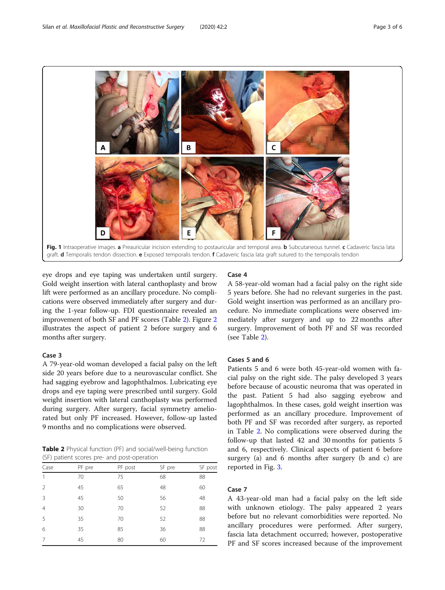<span id="page-2-0"></span>

eye drops and eye taping was undertaken until surgery. Gold weight insertion with lateral canthoplasty and brow lift were performed as an ancillary procedure. No complications were observed immediately after surgery and during the 1-year follow-up. FDI questionnaire revealed an improvement of both SF and PF scores (Table 2). Figure [2](#page-3-0) illustrates the aspect of patient 2 before surgery and 6 months after surgery.

#### Case 3

A 79-year-old woman developed a facial palsy on the left side 20 years before due to a neurovascular conflict. She had sagging eyebrow and lagophthalmos. Lubricating eye drops and eye taping were prescribed until surgery. Gold weight insertion with lateral canthoplasty was performed during surgery. After surgery, facial symmetry ameliorated but only PF increased. However, follow-up lasted 9 months and no complications were observed.

Table 2 Physical function (PF) and social/well-being function (SF) patient scores pre- and post-operation

| Case           | PF pre | PF post | SF pre | SF post |
|----------------|--------|---------|--------|---------|
|                | 70     | 75      | 68     | 88      |
| $\mathcal{P}$  | 45     | 65      | 48     | 60      |
| 3              | 45     | 50      | 56     | 48      |
| $\overline{4}$ | 30     | 70      | 52     | 88      |
| 5              | 35     | 70      | 52     | 88      |
| 6              | 35     | 85      | 36     | 88      |
| 7              | 45     | 80      | 60     | 72      |
|                |        |         |        |         |

#### Case 4

A 58-year-old woman had a facial palsy on the right side 5 years before. She had no relevant surgeries in the past. Gold weight insertion was performed as an ancillary procedure. No immediate complications were observed immediately after surgery and up to 22 months after surgery. Improvement of both PF and SF was recorded (see Table 2).

#### Cases 5 and 6

Patients 5 and 6 were both 45-year-old women with facial palsy on the right side. The palsy developed 3 years before because of acoustic neuroma that was operated in the past. Patient 5 had also sagging eyebrow and lagophthalmos. In these cases, gold weight insertion was performed as an ancillary procedure. Improvement of both PF and SF was recorded after surgery, as reported in Table 2. No complications were observed during the follow-up that lasted 42 and 30 months for patients 5 and 6, respectively. Clinical aspects of patient 6 before surgery (a) and 6 months after surgery (b and c) are reported in Fig. [3.](#page-3-0)

## Case 7

A 43-year-old man had a facial palsy on the left side with unknown etiology. The palsy appeared 2 years before but no relevant comorbidities were reported. No ancillary procedures were performed. After surgery, fascia lata detachment occurred; however, postoperative PF and SF scores increased because of the improvement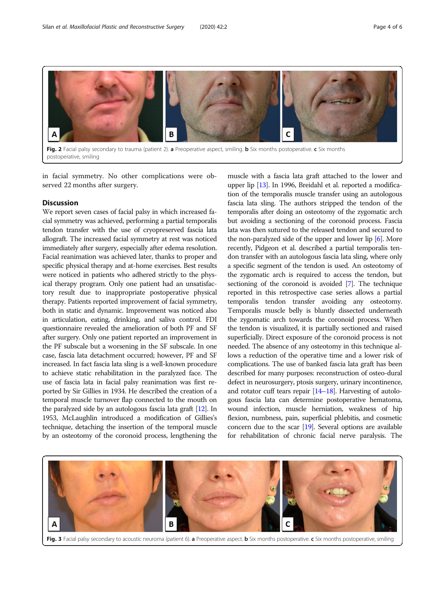<span id="page-3-0"></span>

postoperative, smiling

in facial symmetry. No other complications were observed 22 months after surgery.

#### **Discussion**

We report seven cases of facial palsy in which increased facial symmetry was achieved, performing a partial temporalis tendon transfer with the use of cryopreserved fascia lata allograft. The increased facial symmetry at rest was noticed immediately after surgery, especially after edema resolution. Facial reanimation was achieved later, thanks to proper and specific physical therapy and at-home exercises. Best results were noticed in patients who adhered strictly to the physical therapy program. Only one patient had an unsatisfactory result due to inappropriate postoperative physical therapy. Patients reported improvement of facial symmetry, both in static and dynamic. Improvement was noticed also in articulation, eating, drinking, and saliva control. FDI questionnaire revealed the amelioration of both PF and SF after surgery. Only one patient reported an improvement in the PF subscale but a worsening in the SF subscale. In one case, fascia lata detachment occurred; however, PF and SF increased. In fact fascia lata sling is a well-known procedure to achieve static rehabilitation in the paralyzed face. The use of fascia lata in facial palsy reanimation was first reported by Sir Gillies in 1934. He described the creation of a temporal muscle turnover flap connected to the mouth on the paralyzed side by an autologous fascia lata graft [[12](#page-4-0)]. In 1953, McLaughlin introduced a modification of Gillies's technique, detaching the insertion of the temporal muscle by an osteotomy of the coronoid process, lengthening the

muscle with a fascia lata graft attached to the lower and upper lip [[13](#page-4-0)]. In 1996, Breidahl et al. reported a modification of the temporalis muscle transfer using an autologous fascia lata sling. The authors stripped the tendon of the temporalis after doing an osteotomy of the zygomatic arch but avoiding a sectioning of the coronoid process. Fascia lata was then sutured to the released tendon and secured to the non-paralyzed side of the upper and lower lip [\[6](#page-4-0)]. More recently, Pidgeon et al. described a partial temporalis tendon transfer with an autologous fascia lata sling, where only a specific segment of the tendon is used. An osteotomy of the zygomatic arch is required to access the tendon, but sectioning of the coronoid is avoided [[7](#page-4-0)]. The technique reported in this retrospective case series allows a partial temporalis tendon transfer avoiding any osteotomy. Temporalis muscle belly is bluntly dissected underneath the zygomatic arch towards the coronoid process. When the tendon is visualized, it is partially sectioned and raised superficially. Direct exposure of the coronoid process is not needed. The absence of any osteotomy in this technique allows a reduction of the operative time and a lower risk of complications. The use of banked fascia lata graft has been described for many purposes: reconstruction of osteo-dural defect in neurosurgery, ptosis surgery, urinary incontinence, and rotator cuff tears repair [\[14](#page-4-0)–[18\]](#page-5-0). Harvesting of autologous fascia lata can determine postoperative hematoma, wound infection, muscle herniation, weakness of hip flexion, numbness, pain, superficial phlebitis, and cosmetic concern due to the scar [[19](#page-5-0)]. Several options are available for rehabilitation of chronic facial nerve paralysis. The



Fig. 3 Facial palsy secondary to acoustic neuroma (patient 6). a Preoperative aspect. b Six months postoperative, c Six months postoperative, smiling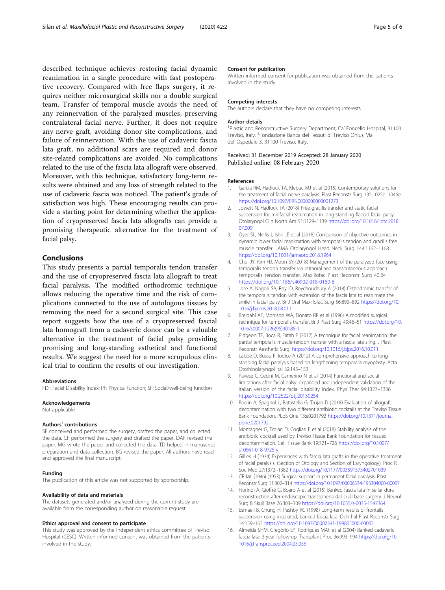<span id="page-4-0"></span>described technique achieves restoring facial dynamic reanimation in a single procedure with fast postoperative recovery. Compared with free flaps surgery, it requires neither microsurgical skills nor a double surgical team. Transfer of temporal muscle avoids the need of any reinnervation of the paralyzed muscles, preserving contralateral facial nerve. Further, it does not require any nerve graft, avoiding donor site complications, and failure of reinnervation. With the use of cadaveric fascia lata graft, no additional scars are required and donor site-related complications are avoided. No complications related to the use of the fascia lata allograft were observed. Moreover, with this technique, satisfactory long-term results were obtained and any loss of strength related to the use of cadaveric fascia was noticed. The patient's grade of satisfaction was high. These encouraging results can provide a starting point for determining whether the application of cryopreserved fascia lata allografts can provide a promising therapeutic alternative for the treatment of facial palsy.

### Conclusions

This study presents a partial temporalis tendon transfer and the use of cryopreserved fascia lata allograft to treat facial paralysis. The modified orthodromic technique allows reducing the operative time and the risk of complications connected to the use of autologous tissues by removing the need for a second surgical site. This case report suggests how the use of a cryopreserved fascial lata homograft from a cadaveric donor can be a valuable alternative in the treatment of facial palsy providing promising and long-standing esthetical and functional results. We suggest the need for a more scrupulous clinical trial to confirm the results of our investigation.

#### Abbreviations

FDI: Facial Disability Index; PF: Physical function; SF: Social/well-being function

#### Acknowledgements

Not applicable

#### Authors' contributions

SF conceived and performed the surgery, drafted the paper, and collected the data. CF performed the surgery and drafted the paper. DAF revised the paper. MG wrote the paper and collected the data. TD helped in manuscript preparation and data collection. BG revised the paper. All authors have read and approved the final manuscript.

#### Funding

The publication of this article was not supported by sponsorship.

#### Availability of data and materials

The datasets generated and/or analyzed during the current study are available from the corresponding author on reasonable request.

#### Ethics approval and consent to participate

This study was approved by the independent ethics committee of Treviso Hospital (CESC). Written informed consent was obtained from the patients involved in the study.

#### Consent for publication

Written informed consent for publication was obtained from the patients involved in the study.

#### Competing interests

The authors declare that they have no competing interests.

#### Author details

<sup>1</sup>Plastic and Reconstructive Surgery Department, Ca' Foncello Hospital, 31100 Treviso, Italy. <sup>2</sup>Fondazione Banca dei Tessuti di Treviso Onlus, Via dell'Ospedale 3, 31100 Treviso, Italy.

#### Received: 31 December 2019 Accepted: 28 January 2020 Published online: 08 February 2020

#### References

- 1. Garcia RM, Hadlock TA, Klebuc MJ et al (2015) Contemporary solutions for the treatment of facial nerve paralysis. Plast Reconstr Surg 135:1025e–1046e <https://doi.org/10.1097/PRS.0000000000001273>
- Jowett N, Hadlock TA (2018) Free gracilis transfer and static facial suspension for midfacial reanimation in long-standing flaccid facial palsy. Otolaryngol Clin North Am 51:1129–1139 [https://doi.org/10.1016/j.otc.2018.](https://doi.org/10.1016/j.otc.2018.07.009) [07.009](https://doi.org/10.1016/j.otc.2018.07.009)
- 3. Oyer SL, Nellis J, Ishii LE et al (2018) Comparison of objective outcomes in dynamic lower facial reanimation with temporalis tendon and gracilis free muscle transfer. JAMA Otolaryngol Head Neck Surg 144:1162–1168 <https://doi.org/10.1001/jamaoto.2018.1964>
- 4. Choi JY, Kim HJ, Moon SY (2018) Management of the paralyzed face using temporalis tendon transfer via intraoral and transcutaneous approach: temporalis tendon transfer. Maxillofac Plast Reconstr Surg 40:24 <https://doi.org/10.1186/s40902-018-0160-6>
- 5. Jose A, Nagori SA, Roy ID, Roychoudhury A (2018) Orthodromic transfer of the temporalis tendon with extension of the fascia lata to reanimate the smile in facial palsy. Br J Oral Maxillofac Surg 56:890–892 [https://doi.org/10.](https://doi.org/10.1016/j.bjoms.2018.08.011) [1016/j.bjoms.2018.08.011](https://doi.org/10.1016/j.bjoms.2018.08.011)
- 6. Breidahl AF, Morrison WA, Donato RR et al (1996) A modified surgical technique for temporalis transfer. Br J Plast Surg 49:46–51 [https://doi.org/10.](https://doi.org/10.1016/s0007-1226(96)90186-1) [1016/s0007-1226\(96\)90186-1](https://doi.org/10.1016/s0007-1226(96)90186-1)
- 7. Pidgeon TE, Boca R, Fatah F (2017) A technique for facial reanimation: the partial temporalis muscle-tendon transfer with a fascia lata sling. J Plast Reconstr Aesthetic Surg. <https://doi.org/10.1016/j.bjps.2016.10.011>
- 8. Labbè D, Bussu F, Iodice A (2012) A comprehensive approach to longstanding facial paralysis based on lengthening temporalis myoplasty. Acta Otorhinolaryngol Ital 32:145–153
- 9. Pavese C, Cecini M, Camerino N et al (2014) Functional and social limitations after facial palsy: expanded and independent validation of the Italian version of the facial disability index. Phys Ther 94:1327–1336 <https://doi.org/10.2522/ptj.20130254>
- 10. Paolin A, Spagnol L, Battistella G, Trojan D (2018) Evaluation of allograft decontamination with two different antibiotic cocktails at the Treviso Tissue Bank Foundation. PLoS One 13:e0201792 [https://doi.org/10.1371/journal.](https://doi.org/10.1371/journal.pone.0201792) [pone.0201792](https://doi.org/10.1371/journal.pone.0201792)
- 11. Montagner G, Trojan D, Cogliati E et al (2018) Stability analysis of the antibiotic cocktail used by Treviso Tissue Bank Foundation for tissues decontamination. Cell Tissue Bank 19:721–726 [https://doi.org/10.1007/](https://doi.org/10.1007/s10561-018-9725-y) [s10561-018-9725-y](https://doi.org/10.1007/s10561-018-9725-y)
- 12. Gillies H (1934) Experiences with fascia lata grafts in the operative treatment of facial paralysis: (Section of Otology and Section of Laryngology). Proc R Soc Med 27:1372–1382 <https://doi.org/10.1177/003591573402701039>
- 13. CR ML (1946) (1953) Surgical support in permanent facial paralysis. Plast Reconstr Surg 11:302–314 <https://doi.org/10.1097/00006534-195304000-00007>
- 14. Fiorindi A, Gioffrè G, Boaro A et al (2015) Banked fascia lata in sellar dura reconstruction after endoscopic transsphenoidal skull base surgery. J Neurol Surg B Skull Base 76:303–309 <https://doi.org/10.1055/s-0035-1547364>
- 15. Esmaeli B, Chung H, Pashby RC (1998) Long-term results of frontalis suspension using irradiated, banked fascia lata. Ophthal Plast Reconstr Surg 14:159–163 <https://doi.org/10.1097/00002341-199805000-00002>
- 16. Almeida SHM, Gregório EP, Rodrigues MAF et al (2004) Banked cadaveric fascia lata: 3-year follow-up. Transplant Proc 36:993–994 [https://doi.org/10.](https://doi.org/10.1016/j.transproceed.2004.03.055) [1016/j.transproceed.2004.03.055](https://doi.org/10.1016/j.transproceed.2004.03.055)